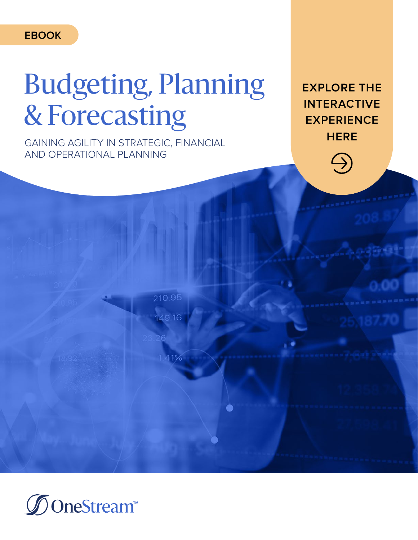### **EBOOK**

# Budgeting, Planning & Forecasting

**HERE** GAINING AGILITY IN STRATEGIC, FINANCIAL AND OPERATIONAL PLANNING

**[EXPLORE THE](https://view.onestreamsoftware.com/budgeting-planning-forecasting)  INTERACTIVE EXPERIENCE** 



1.41%

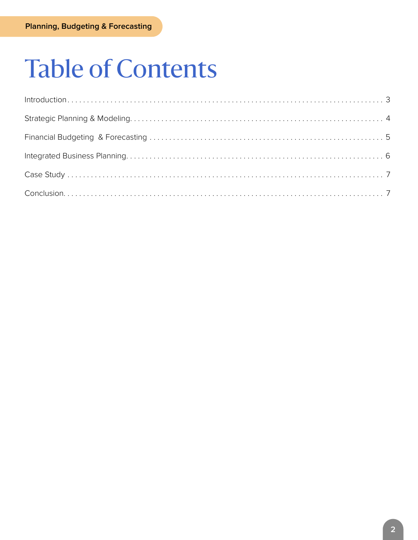# **Table of Contents**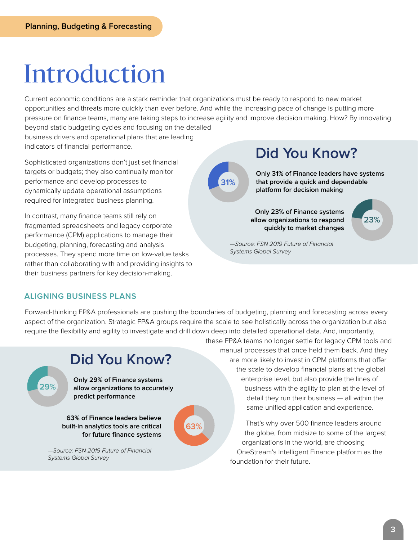# <span id="page-2-0"></span>Introduction

Current economic conditions are a stark reminder that organizations must be ready to respond to new market opportunities and threats more quickly than ever before. And while the increasing pace of change is putting more pressure on finance teams, many are taking steps to increase agility and improve decision making. How? By innovating beyond static budgeting cycles and focusing on the detailed

**31%**

business drivers and operational plans that are leading indicators of financial performance.

Sophisticated organizations don't just set financial targets or budgets; they also continually monitor performance and develop processes to dynamically update operational assumptions required for integrated business planning.

In contrast, many finance teams still rely on fragmented spreadsheets and legacy corporate performance (CPM) applications to manage their budgeting, planning, forecasting and analysis processes. They spend more time on low-value tasks rather than collaborating with and providing insights to their business partners for key decision-making.

### **Did You Know?**

**Only 31% of Finance leaders have systems that provide a quick and dependable platform for decision making**

**Only 23% of Finance systems allow organizations to respond quickly to market changes**

**23%**

*—Source: FSN 2019 Future of Financial Systems Global Survey*

#### **ALIGNING BUSINESS PLANS**

Forward-thinking FP&A professionals are pushing the boundaries of budgeting, planning and forecasting across every aspect of the organization. Strategic FP&A groups require the scale to see holistically across the organization but also require the flexibility and agility to investigate and drill down deep into detailed operational data. And, importantly,

**63%**



### **Did You Know?**

**Only 29% of Finance systems allow organizations to accurately predict performance** 

**63% of Finance leaders believe built-in analytics tools are critical for future finance systems**

*—Source: FSN 2019 Future of Financial Systems Global Survey*

these FP&A teams no longer settle for legacy CPM tools and manual processes that once held them back. And they are more likely to invest in CPM platforms that offer the scale to develop financial plans at the global enterprise level, but also provide the lines of business with the agility to plan at the level of detail they run their business — all within the same unified application and experience.

> That's why over 500 finance leaders around the globe, from midsize to some of the largest organizations in the world, are choosing OneStream's Intelligent Finance platform as the foundation for their future.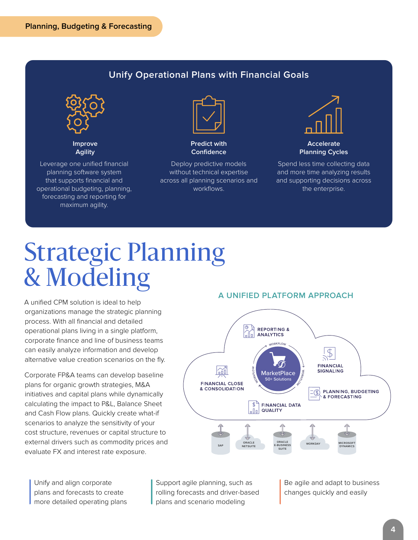### **Unify Operational Plans with Financial Goals**

<span id="page-3-0"></span>

**Improve Agility**

Leverage one unified financial **PLANNING BUDGETING BUDGETING** that supports financial and operational budgeting, planning, forecasting and reporting for maximum agility.



**Predict with Confidence**

Deploy predictive models without technical expertise **REPORTING &** across all planning scenarios and workflows.



**Accelerate Planning Cycles**

Spend less time collecting data and more time analyzing results **EXAMPLE SUPPORT CONSOLIDATION**<br>**g** scenarios and **ANALY and Supporting** decisions across the enterprise.

### Strategic Planning & Modeling

A unified CPM solution is ideal to help organizations manage the strategic planning process. With all financial and detailed operational plans living in a single platform, corporate finance and line of business teams can easily analyze information and develop alternative value creation scenarios on the fly.

Corporate FP&A teams can develop baseline plans for organic growth strategies, M&A initiatives and capital plans while dynamically calculating the impact to P&L, Balance Sheet and Cash Flow plans. Quickly create what-if scenarios to analyze the sensitivity of your cost structure, revenues or capital structure to external drivers such as commodity prices and evaluate FX and interest rate exposure.

#### Unify and align corporate plans and forecasts to create more detailed operating plans

#### **A UNIFIED PLATFORM APPROACH**



Support agile planning, such as rolling forecasts and driver-based plans and scenario modeling

Be agile and adapt to business changes quickly and easily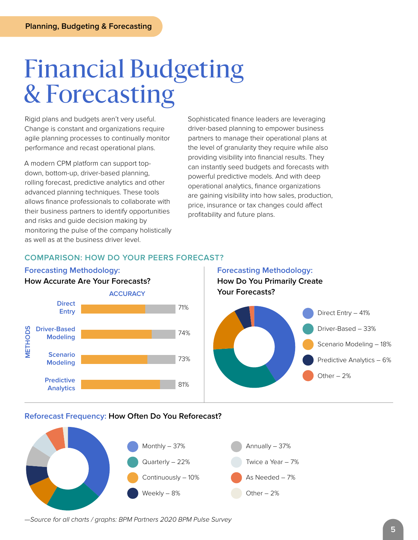### <span id="page-4-0"></span>Financial Budgeting & Forecasting

Rigid plans and budgets aren't very useful. Change is constant and organizations require agile planning processes to continually monitor performance and recast operational plans.

A modern CPM platform can support topdown, bottom-up, driver-based planning, rolling forecast, predictive analytics and other advanced planning techniques. These tools allows finance professionals to collaborate with their business partners to identify opportunities and risks and guide decision making by monitoring the pulse of the company holistically as well as at the business driver level.

Sophisticated finance leaders are leveraging driver-based planning to empower business partners to manage their operational plans at the level of granularity they require while also providing visibility into financial results. They can instantly seed budgets and forecasts with powerful predictive models. And with deep operational analytics, finance organizations are gaining visibility into how sales, production, price, insurance or tax changes could affect profitability and future plans.

#### **COMPARISON: HOW DO YOUR PEERS FORECAST?**



#### **Reforecast Frequency: How Often Do You Reforecast?**



*—Source for all charts / graphs: BPM Partners 2020 BPM Pulse Survey*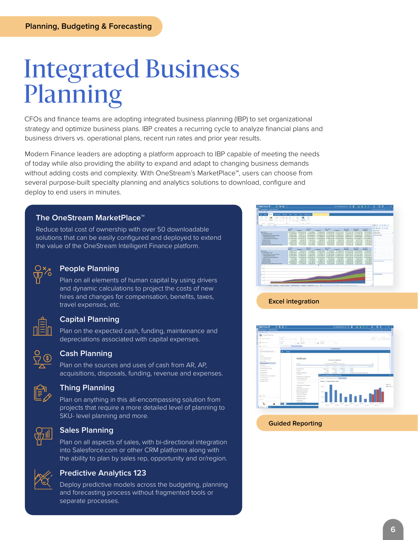## <span id="page-5-0"></span>Integrated Business Planning

CFOs and finance teams are adopting integrated business planning (IBP) to set organizational strategy and optimize business plans. IBP creates a recurring cycle to analyze financial plans and business drivers vs. operational plans, recent run rates and prior year results.

Modern Finance leaders are adopting a platform approach to IBP capable of meeting the needs of today while also providing the ability to expand and adapt to changing business demands without adding costs and complexity. With OneStream's MarketPlace™, users can choose from several purpose-built specialty planning and analytics solutions to download, configure and deploy to end users in minutes.

#### **The OneStream MarketPlace™**

Reduce total cost of ownership with over 50 downloadable solutions that can be easily configured and deployed to extend the value of the OneStream Intelligent Finance platform.



#### **People Planning**

Plan on all elements of human capital by using drivers and dynamic calculations to project the costs of new hires and changes for compensation, benefits, taxes, travel expenses, etc.



#### **Capital Planning**

Plan on the expected cash, funding, maintenance and depreciations associated with capital expenses.



#### **Cash Planning**

Plan on the sources and uses of cash from AR, AP, acquisitions, disposals, funding, revenue and expenses.



#### **Thing Planning**

Plan on anything in this all-encompassing solution from projects that require a more detailed level of planning to SKU- level planning and more.



#### **Sales Planning**

Plan on all aspects of sales, with bi-directional integration into Salesforce.com or other CRM platforms along with the ability to plan by sales rep, opportunity and or/region.



#### **Predictive Analytics 123**

Deploy predictive models across the budgeting, planning and forecasting process without fragmented tools or separate processes.



#### **Excel integration**



#### **Guided Reporting**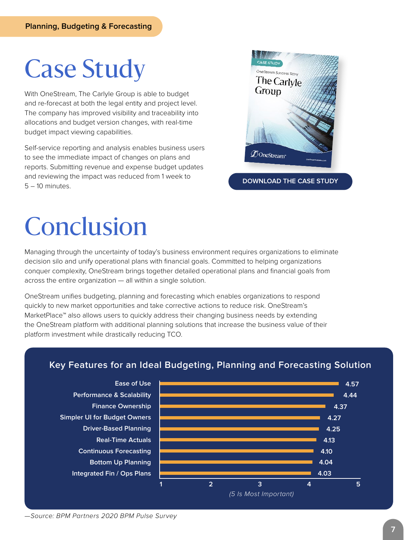# <span id="page-6-0"></span>Case Study

With OneStream, The Carlyle Group is able to budget and re-forecast at both the legal entity and project level. The company has improved visibility and traceability into allocations and budget version changes, with real-time budget impact viewing capabilities.

Self-service reporting and analysis enables business users to see the immediate impact of changes on plans and reports. Submitting revenue and expense budget updates and reviewing the impact was reduced from 1 week to 5 – 10 minutes.



**[DOWNLOAD THE CASE STUDY](https://cdn2.hubspot.net/hubfs/2020381/Success%20Stories/CS_CarlyleGroup-CaseStudy-Cobrand-final.pdf)**

### Conclusion

Managing through the uncertainty of today's business environment requires organizations to eliminate decision silo and unify operational plans with financial goals. Committed to helping organizations conquer complexity, OneStream brings together detailed operational plans and financial goals from across the entire organization — all within a single solution.

OneStream unifies budgeting, planning and forecasting which enables organizations to respond quickly to new market opportunities and take corrective actions to reduce risk. OneStream's MarketPlace™ also allows users to quickly address their changing business needs by extending the OneStream platform with additional planning solutions that increase the business value of their platform investment while drastically reducing TCO.

### **Key Features for an Ideal Budgeting, Planning and Forecasting Solution**



*—Source: BPM Partners 2020 BPM Pulse Survey*